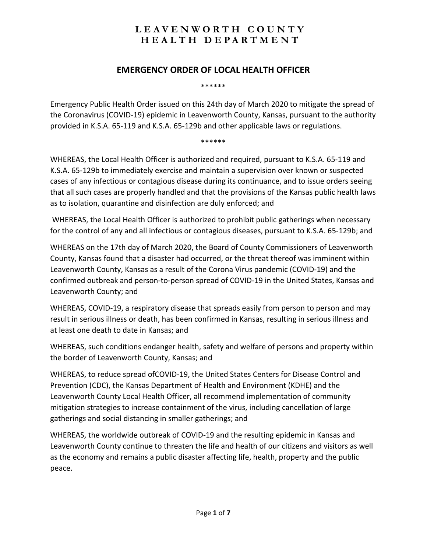#### **EMERGENCY ORDER OF LOCAL HEALTH OFFICER**

\*\*\*\*\*\*

Emergency Public Health Order issued on this 24th day of March 2020 to mitigate the spread of the Coronavirus (COVID-19) epidemic in Leavenworth County, Kansas, pursuant to the authority provided in K.S.A. 65-119 and K.S.A. 65-129b and other applicable laws or regulations.

\*\*\*\*\*\*

WHEREAS, the Local Health Officer is authorized and required, pursuant to K.S.A. 65-119 and K.S.A. 65-129b to immediately exercise and maintain a supervision over known or suspected cases of any infectious or contagious disease during its continuance, and to issue orders seeing that all such cases are properly handled and that the provisions of the Kansas public health laws as to isolation, quarantine and disinfection are duly enforced; and

WHEREAS, the Local Health Officer is authorized to prohibit public gatherings when necessary for the control of any and all infectious or contagious diseases, pursuant to K.S.A. 65-129b; and

WHEREAS on the 17th day of March 2020, the Board of County Commissioners of Leavenworth County, Kansas found that a disaster had occurred, or the threat thereof was imminent within Leavenworth County, Kansas as a result of the Corona Virus pandemic (COVID-19) and the confirmed outbreak and person-to-person spread of COVID-19 in the United States, Kansas and Leavenworth County; and

WHEREAS, COVID-19, a respiratory disease that spreads easily from person to person and may result in serious illness or death, has been confirmed in Kansas, resulting in serious illness and at least one death to date in Kansas; and

WHEREAS, such conditions endanger health, safety and welfare of persons and property within the border of Leavenworth County, Kansas; and

WHEREAS, to reduce spread ofCOVID-19, the United States Centers for Disease Control and Prevention (CDC), the Kansas Department of Health and Environment (KDHE) and the Leavenworth County Local Health Officer, all recommend implementation of community mitigation strategies to increase containment of the virus, including cancellation of large gatherings and social distancing in smaller gatherings; and

WHEREAS, the worldwide outbreak of COVID-19 and the resulting epidemic in Kansas and Leavenworth County continue to threaten the life and health of our citizens and visitors as well as the economy and remains a public disaster affecting life, health, property and the public peace.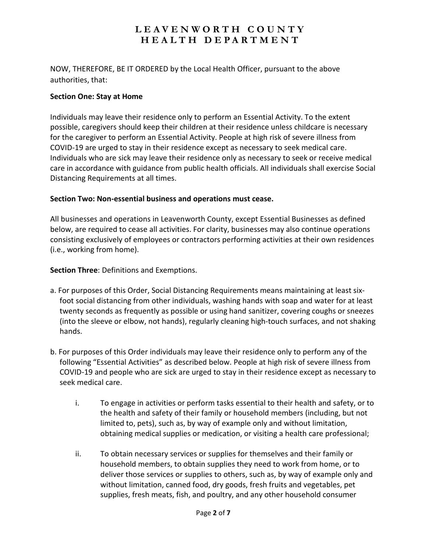NOW, THEREFORE, BE IT ORDERED by the Local Health Officer, pursuant to the above authorities, that:

#### **Section One: Stay at Home**

Individuals may leave their residence only to perform an Essential Activity. To the extent possible, caregivers should keep their children at their residence unless childcare is necessary for the caregiver to perform an Essential Activity. People at high risk of severe illness from COVID-19 are urged to stay in their residence except as necessary to seek medical care. Individuals who are sick may leave their residence only as necessary to seek or receive medical care in accordance with guidance from public health officials. All individuals shall exercise Social Distancing Requirements at all times.

#### **Section Two: Non-essential business and operations must cease.**

All businesses and operations in Leavenworth County, except Essential Businesses as defined below, are required to cease all activities. For clarity, businesses may also continue operations consisting exclusively of employees or contractors performing activities at their own residences (i.e., working from home).

#### **Section Three**: Definitions and Exemptions.

- a. For purposes of this Order, Social Distancing Requirements means maintaining at least sixfoot social distancing from other individuals, washing hands with soap and water for at least twenty seconds as frequently as possible or using hand sanitizer, covering coughs or sneezes (into the sleeve or elbow, not hands), regularly cleaning high-touch surfaces, and not shaking hands.
- b. For purposes of this Order individuals may leave their residence only to perform any of the following "Essential Activities" as described below. People at high risk of severe illness from COVID-19 and people who are sick are urged to stay in their residence except as necessary to seek medical care.
	- i. To engage in activities or perform tasks essential to their health and safety, or to the health and safety of their family or household members (including, but not limited to, pets), such as, by way of example only and without limitation, obtaining medical supplies or medication, or visiting a health care professional;
	- ii. To obtain necessary services or supplies for themselves and their family or household members, to obtain supplies they need to work from home, or to deliver those services or supplies to others, such as, by way of example only and without limitation, canned food, dry goods, fresh fruits and vegetables, pet supplies, fresh meats, fish, and poultry, and any other household consumer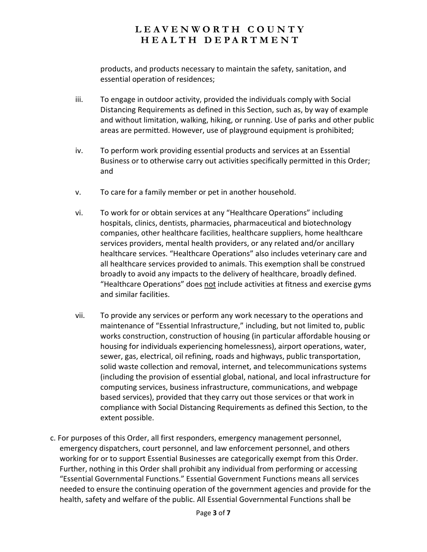products, and products necessary to maintain the safety, sanitation, and essential operation of residences;

- iii. To engage in outdoor activity, provided the individuals comply with Social Distancing Requirements as defined in this Section, such as, by way of example and without limitation, walking, hiking, or running. Use of parks and other public areas are permitted. However, use of playground equipment is prohibited;
- iv. To perform work providing essential products and services at an Essential Business or to otherwise carry out activities specifically permitted in this Order; and
- v. To care for a family member or pet in another household.
- vi. To work for or obtain services at any "Healthcare Operations" including hospitals, clinics, dentists, pharmacies, pharmaceutical and biotechnology companies, other healthcare facilities, healthcare suppliers, home healthcare services providers, mental health providers, or any related and/or ancillary healthcare services. "Healthcare Operations" also includes veterinary care and all healthcare services provided to animals. This exemption shall be construed broadly to avoid any impacts to the delivery of healthcare, broadly defined. "Healthcare Operations" does not include activities at fitness and exercise gyms and similar facilities.
- vii. To provide any services or perform any work necessary to the operations and maintenance of "Essential Infrastructure," including, but not limited to, public works construction, construction of housing (in particular affordable housing or housing for individuals experiencing homelessness), airport operations, water, sewer, gas, electrical, oil refining, roads and highways, public transportation, solid waste collection and removal, internet, and telecommunications systems (including the provision of essential global, national, and local infrastructure for computing services, business infrastructure, communications, and webpage based services), provided that they carry out those services or that work in compliance with Social Distancing Requirements as defined this Section, to the extent possible.
- c. For purposes of this Order, all first responders, emergency management personnel, emergency dispatchers, court personnel, and law enforcement personnel, and others working for or to support Essential Businesses are categorically exempt from this Order. Further, nothing in this Order shall prohibit any individual from performing or accessing "Essential Governmental Functions." Essential Government Functions means all services needed to ensure the continuing operation of the government agencies and provide for the health, safety and welfare of the public. All Essential Governmental Functions shall be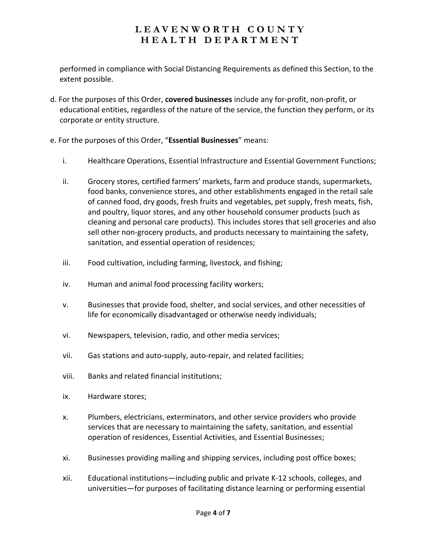performed in compliance with Social Distancing Requirements as defined this Section, to the extent possible.

- d. For the purposes of this Order, **covered businesses** include any for-profit, non-profit, or educational entities, regardless of the nature of the service, the function they perform, or its corporate or entity structure.
- e. For the purposes of this Order, "**Essential Businesses**" means:
	- i. Healthcare Operations, Essential Infrastructure and Essential Government Functions;
	- ii. Grocery stores, certified farmers' markets, farm and produce stands, supermarkets, food banks, convenience stores, and other establishments engaged in the retail sale of canned food, dry goods, fresh fruits and vegetables, pet supply, fresh meats, fish, and poultry, liquor stores, and any other household consumer products (such as cleaning and personal care products). This includes stores that sell groceries and also sell other non-grocery products, and products necessary to maintaining the safety, sanitation, and essential operation of residences;
	- iii. Food cultivation, including farming, livestock, and fishing;
	- iv. Human and animal food processing facility workers;
	- v. Businesses that provide food, shelter, and social services, and other necessities of life for economically disadvantaged or otherwise needy individuals;
	- vi. Newspapers, television, radio, and other media services;
	- vii. Gas stations and auto-supply, auto-repair, and related facilities;
	- viii. Banks and related financial institutions;
	- ix. Hardware stores;
	- x. Plumbers, electricians, exterminators, and other service providers who provide services that are necessary to maintaining the safety, sanitation, and essential operation of residences, Essential Activities, and Essential Businesses;
	- xi. Businesses providing mailing and shipping services, including post office boxes;
	- xii. Educational institutions—including public and private K-12 schools, colleges, and universities—for purposes of facilitating distance learning or performing essential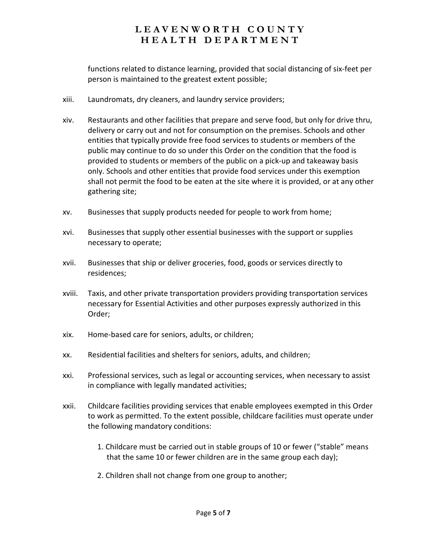functions related to distance learning, provided that social distancing of six-feet per person is maintained to the greatest extent possible;

- xiii. Laundromats, dry cleaners, and laundry service providers;
- xiv. Restaurants and other facilities that prepare and serve food, but only for drive thru, delivery or carry out and not for consumption on the premises. Schools and other entities that typically provide free food services to students or members of the public may continue to do so under this Order on the condition that the food is provided to students or members of the public on a pick-up and takeaway basis only. Schools and other entities that provide food services under this exemption shall not permit the food to be eaten at the site where it is provided, or at any other gathering site;
- xv. Businesses that supply products needed for people to work from home;
- xvi. Businesses that supply other essential businesses with the support or supplies necessary to operate;
- xvii. Businesses that ship or deliver groceries, food, goods or services directly to residences;
- xviii. Taxis, and other private transportation providers providing transportation services necessary for Essential Activities and other purposes expressly authorized in this Order;
- xix. Home-based care for seniors, adults, or children;
- xx. Residential facilities and shelters for seniors, adults, and children;
- xxi. Professional services, such as legal or accounting services, when necessary to assist in compliance with legally mandated activities;
- xxii. Childcare facilities providing services that enable employees exempted in this Order to work as permitted. To the extent possible, childcare facilities must operate under the following mandatory conditions:
	- 1. Childcare must be carried out in stable groups of 10 or fewer ("stable" means that the same 10 or fewer children are in the same group each day);
	- 2. Children shall not change from one group to another;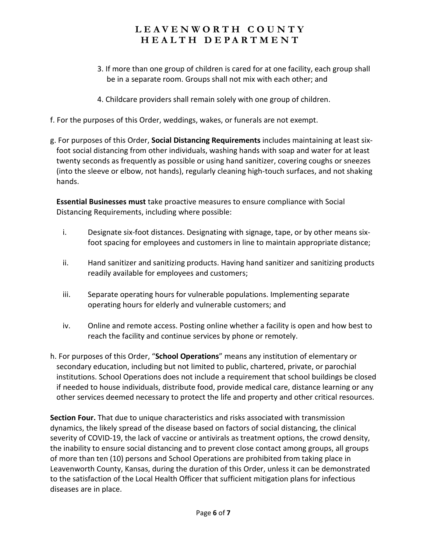- 3. If more than one group of children is cared for at one facility, each group shall be in a separate room. Groups shall not mix with each other; and
- 4. Childcare providers shall remain solely with one group of children.
- f. For the purposes of this Order, weddings, wakes, or funerals are not exempt.
- g. For purposes of this Order, **Social Distancing Requirements** includes maintaining at least sixfoot social distancing from other individuals, washing hands with soap and water for at least twenty seconds as frequently as possible or using hand sanitizer, covering coughs or sneezes (into the sleeve or elbow, not hands), regularly cleaning high-touch surfaces, and not shaking hands.

**Essential Businesses must** take proactive measures to ensure compliance with Social Distancing Requirements, including where possible:

- i. Designate six-foot distances. Designating with signage, tape, or by other means sixfoot spacing for employees and customers in line to maintain appropriate distance;
- ii. Hand sanitizer and sanitizing products. Having hand sanitizer and sanitizing products readily available for employees and customers;
- iii. Separate operating hours for vulnerable populations. Implementing separate operating hours for elderly and vulnerable customers; and
- iv. Online and remote access. Posting online whether a facility is open and how best to reach the facility and continue services by phone or remotely.
- h. For purposes of this Order, "**School Operations**" means any institution of elementary or secondary education, including but not limited to public, chartered, private, or parochial institutions. School Operations does not include a requirement that school buildings be closed if needed to house individuals, distribute food, provide medical care, distance learning or any other services deemed necessary to protect the life and property and other critical resources.

**Section Four.** That due to unique characteristics and risks associated with transmission dynamics, the likely spread of the disease based on factors of social distancing, the clinical severity of COVID-19, the lack of vaccine or antivirals as treatment options, the crowd density, the inability to ensure social distancing and to prevent close contact among groups, all groups of more than ten (10) persons and School Operations are prohibited from taking place in Leavenworth County, Kansas, during the duration of this Order, unless it can be demonstrated to the satisfaction of the Local Health Officer that sufficient mitigation plans for infectious diseases are in place.